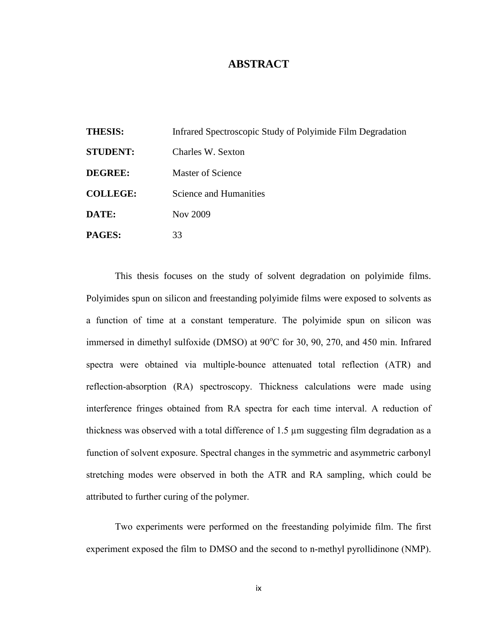## **ABSTRACT**

| <b>THESIS:</b>  | Infrared Spectroscopic Study of Polyimide Film Degradation |
|-----------------|------------------------------------------------------------|
| <b>STUDENT:</b> | Charles W. Sexton                                          |
| <b>DEGREE:</b>  | Master of Science                                          |
| <b>COLLEGE:</b> | Science and Humanities                                     |
| DATE:           | Nov 2009                                                   |
| <b>PAGES:</b>   | 33                                                         |

This thesis focuses on the study of solvent degradation on polyimide films. Polyimides spun on silicon and freestanding polyimide films were exposed to solvents as a function of time at a constant temperature. The polyimide spun on silicon was immersed in dimethyl sulfoxide (DMSO) at  $90^{\circ}$ C for 30, 90, 270, and 450 min. Infrared spectra were obtained via multiple-bounce attenuated total reflection (ATR) and reflection-absorption (RA) spectroscopy. Thickness calculations were made using interference fringes obtained from RA spectra for each time interval. A reduction of thickness was observed with a total difference of 1.5 µm suggesting film degradation as a function of solvent exposure. Spectral changes in the symmetric and asymmetric carbonyl stretching modes were observed in both the ATR and RA sampling, which could be attributed to further curing of the polymer.

Two experiments were performed on the freestanding polyimide film. The first experiment exposed the film to DMSO and the second to n-methyl pyrollidinone (NMP).